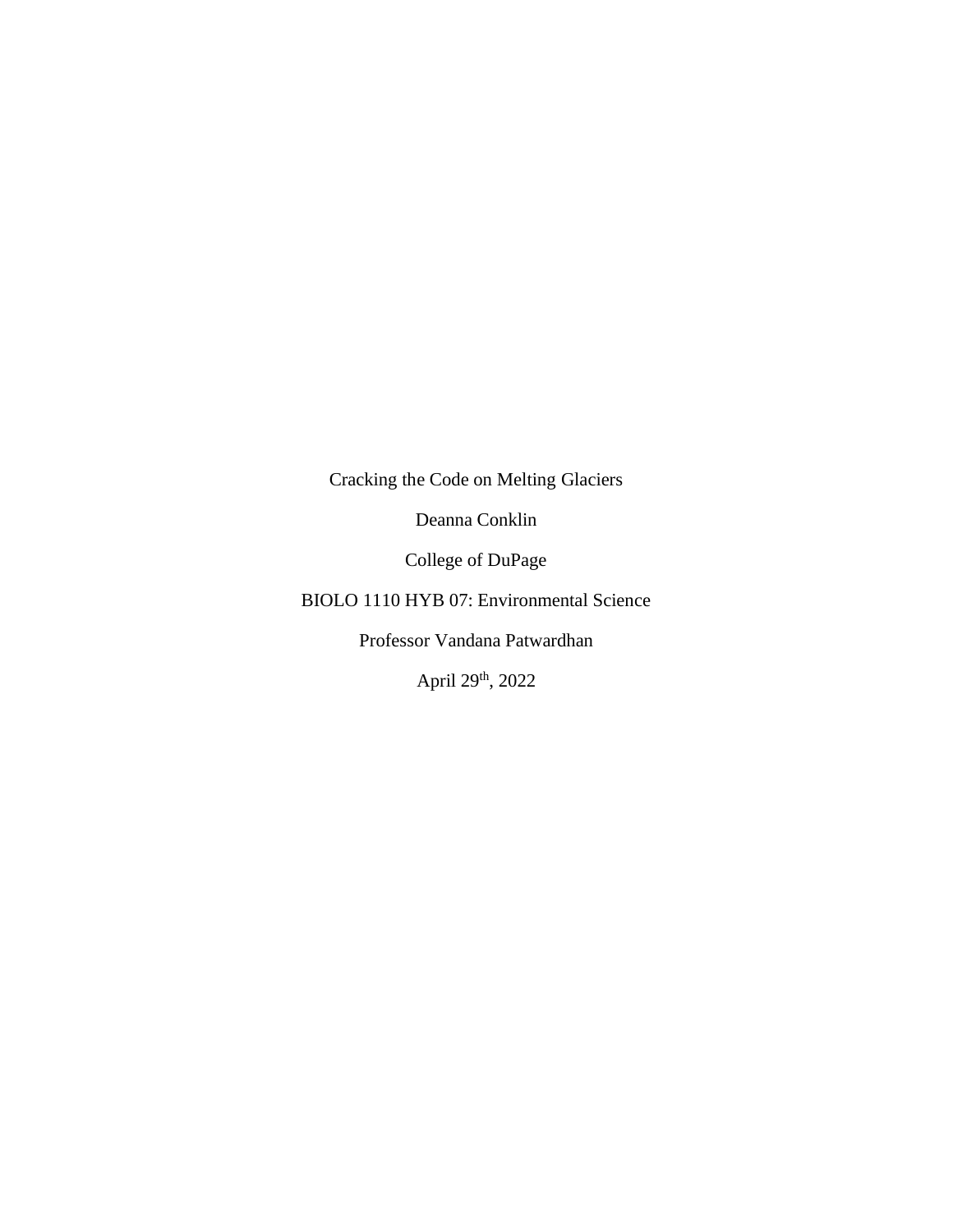Cracking the Code on Melting Glaciers

Deanna Conklin

College of DuPage

BIOLO 1110 HYB 07: Environmental Science

Professor Vandana Patwardhan

April 29th, 2022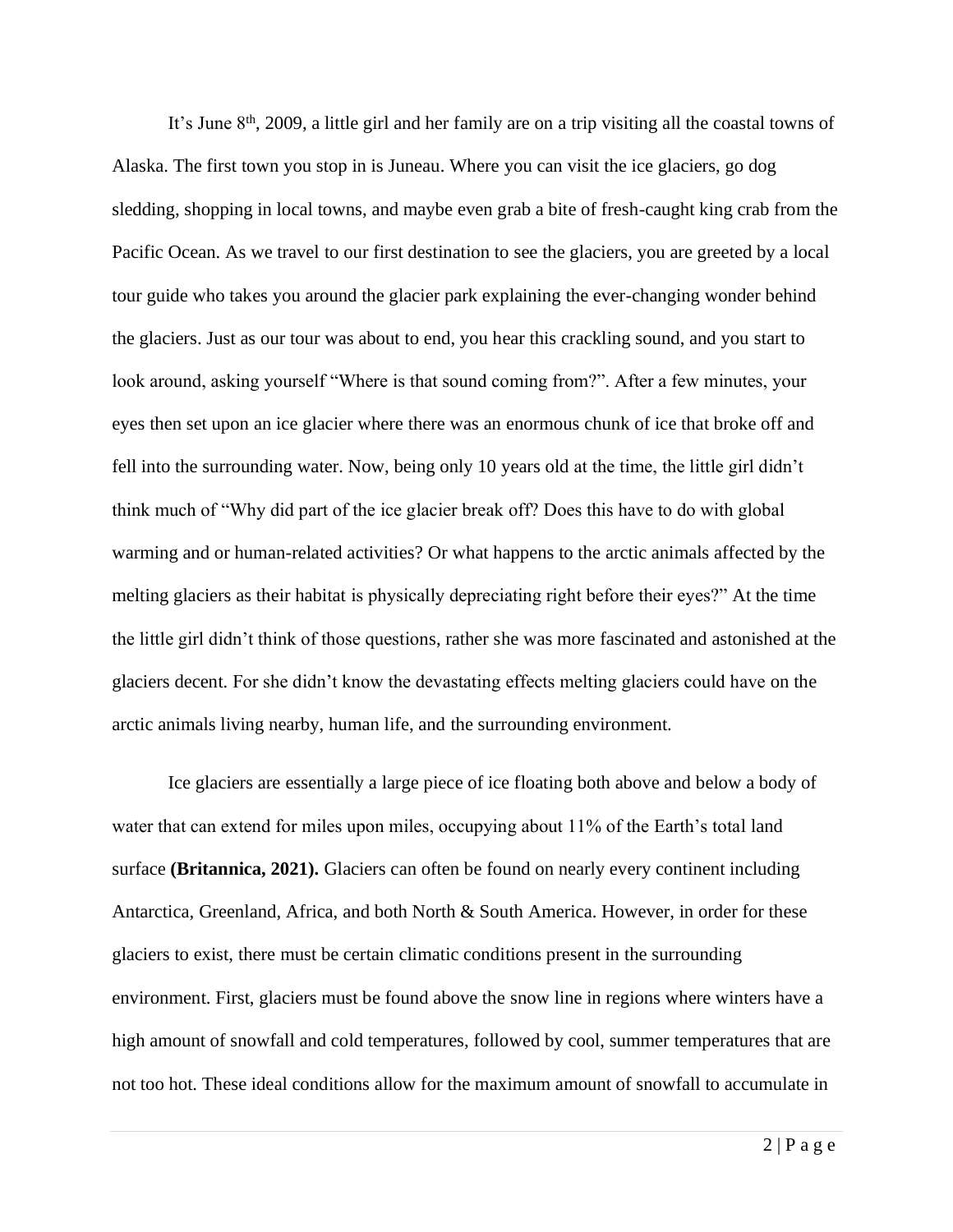It's June 8<sup>th</sup>, 2009, a little girl and her family are on a trip visiting all the coastal towns of Alaska. The first town you stop in is Juneau. Where you can visit the ice glaciers, go dog sledding, shopping in local towns, and maybe even grab a bite of fresh-caught king crab from the Pacific Ocean. As we travel to our first destination to see the glaciers, you are greeted by a local tour guide who takes you around the glacier park explaining the ever-changing wonder behind the glaciers. Just as our tour was about to end, you hear this crackling sound, and you start to look around, asking yourself "Where is that sound coming from?". After a few minutes, your eyes then set upon an ice glacier where there was an enormous chunk of ice that broke off and fell into the surrounding water. Now, being only 10 years old at the time, the little girl didn't think much of "Why did part of the ice glacier break off? Does this have to do with global warming and or human-related activities? Or what happens to the arctic animals affected by the melting glaciers as their habitat is physically depreciating right before their eyes?" At the time the little girl didn't think of those questions, rather she was more fascinated and astonished at the glaciers decent. For she didn't know the devastating effects melting glaciers could have on the arctic animals living nearby, human life, and the surrounding environment.

Ice glaciers are essentially a large piece of ice floating both above and below a body of water that can extend for miles upon miles, occupying about 11% of the Earth's total land surface **(Britannica, 2021).** Glaciers can often be found on nearly every continent including Antarctica, Greenland, Africa, and both North & South America. However, in order for these glaciers to exist, there must be certain climatic conditions present in the surrounding environment. First, glaciers must be found above the snow line in regions where winters have a high amount of snowfall and cold temperatures, followed by cool, summer temperatures that are not too hot. These ideal conditions allow for the maximum amount of snowfall to accumulate in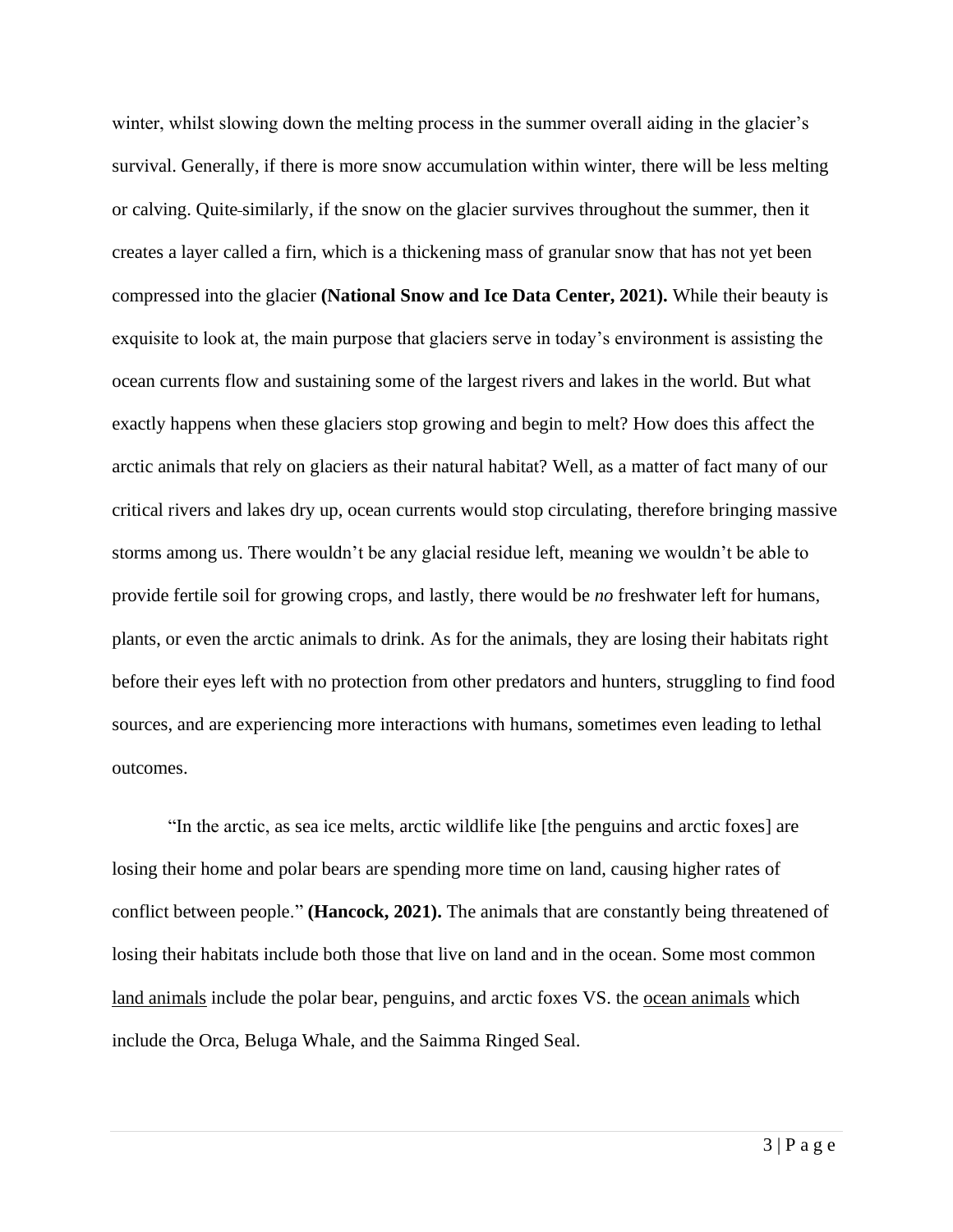winter, whilst slowing down the melting process in the summer overall aiding in the glacier's survival. Generally, if there is more snow accumulation within winter, there will be less melting or calving. Quite similarly, if the snow on the glacier survives throughout the summer, then it creates a layer called a firn, which is a thickening mass of granular snow that has not yet been compressed into the glacier **(National Snow and Ice Data Center, 2021).** While their beauty is exquisite to look at, the main purpose that glaciers serve in today's environment is assisting the ocean currents flow and sustaining some of the largest rivers and lakes in the world. But what exactly happens when these glaciers stop growing and begin to melt? How does this affect the arctic animals that rely on glaciers as their natural habitat? Well, as a matter of fact many of our critical rivers and lakes dry up, ocean currents would stop circulating, therefore bringing massive storms among us. There wouldn't be any glacial residue left, meaning we wouldn't be able to provide fertile soil for growing crops, and lastly, there would be *no* freshwater left for humans, plants, or even the arctic animals to drink. As for the animals, they are losing their habitats right before their eyes left with no protection from other predators and hunters, struggling to find food sources, and are experiencing more interactions with humans, sometimes even leading to lethal outcomes.

"In the arctic, as sea ice melts, arctic wildlife like [the penguins and arctic foxes] are losing their home and polar bears are spending more time on land, causing higher rates of conflict between people." **(Hancock, 2021).** The animals that are constantly being threatened of losing their habitats include both those that live on land and in the ocean. Some most common land animals include the polar bear, penguins, and arctic foxes VS. the ocean animals which include the Orca, Beluga Whale, and the Saimma Ringed Seal.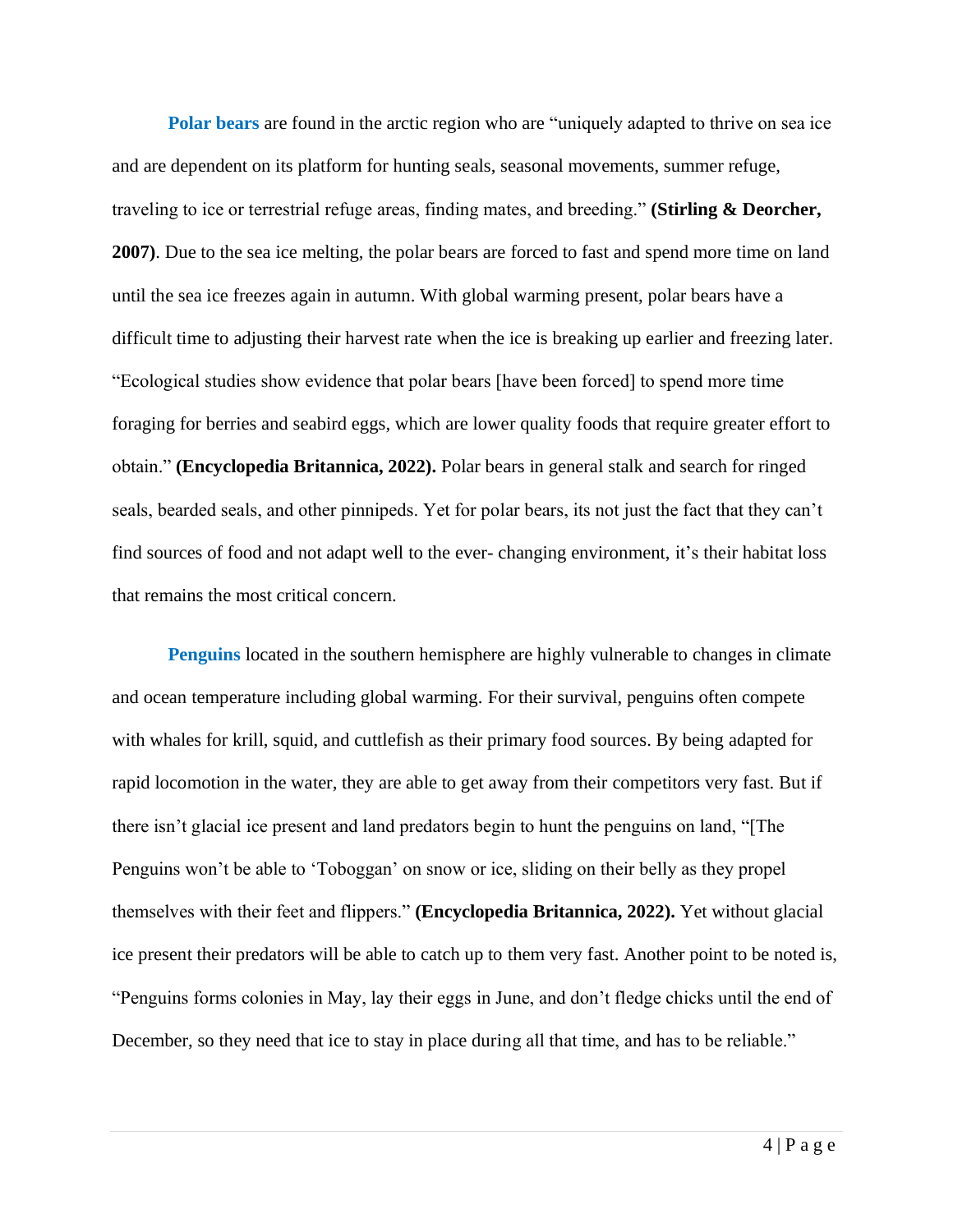**Polar bears** are found in the arctic region who are "uniquely adapted to thrive on sea ice and are dependent on its platform for hunting seals, seasonal movements, summer refuge, traveling to ice or terrestrial refuge areas, finding mates, and breeding." **(Stirling & Deorcher, 2007)**. Due to the sea ice melting, the polar bears are forced to fast and spend more time on land until the sea ice freezes again in autumn. With global warming present, polar bears have a difficult time to adjusting their harvest rate when the ice is breaking up earlier and freezing later. "Ecological studies show evidence that polar bears [have been forced] to spend more time foraging for berries and seabird eggs, which are lower quality foods that require greater effort to obtain." **(Encyclopedia Britannica, 2022).** Polar bears in general stalk and search for ringed seals, bearded seals, and other pinnipeds. Yet for polar bears, its not just the fact that they can't find sources of food and not adapt well to the ever- changing environment, it's their habitat loss that remains the most critical concern.

**Penguins** located in the southern hemisphere are highly vulnerable to changes in climate and ocean temperature including global warming. For their survival, penguins often compete with whales for krill, squid, and cuttlefish as their primary food sources. By being adapted for rapid locomotion in the water, they are able to get away from their competitors very fast. But if there isn't glacial ice present and land predators begin to hunt the penguins on land, "[The Penguins won't be able to 'Toboggan' on snow or ice, sliding on their belly as they propel themselves with their feet and flippers." **(Encyclopedia Britannica, 2022).** Yet without glacial ice present their predators will be able to catch up to them very fast. Another point to be noted is, "Penguins forms colonies in May, lay their eggs in June, and don't fledge chicks until the end of December, so they need that ice to stay in place during all that time, and has to be reliable."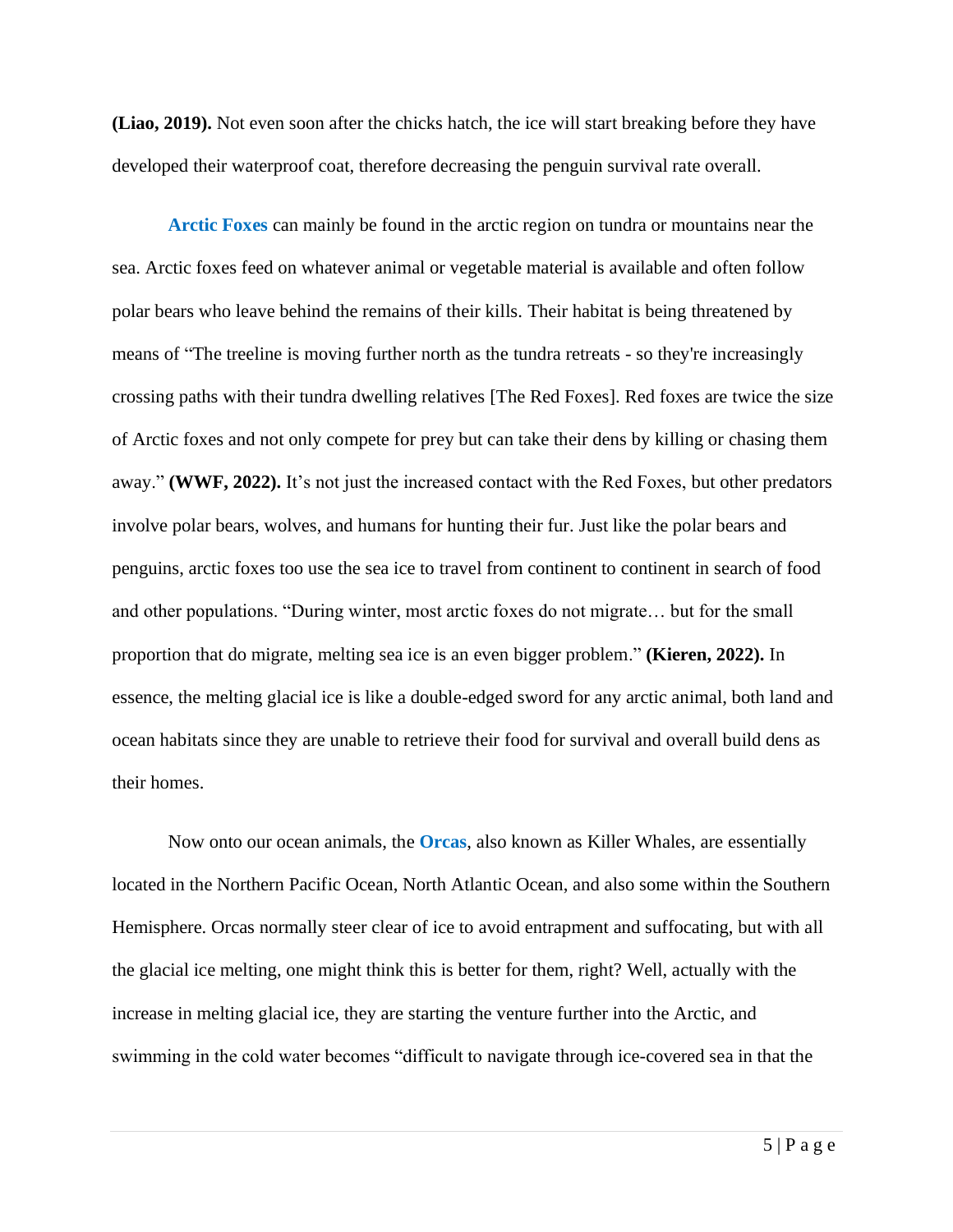**(Liao, 2019).** Not even soon after the chicks hatch, the ice will start breaking before they have developed their waterproof coat, therefore decreasing the penguin survival rate overall.

**Arctic Foxes** can mainly be found in the arctic region on tundra or mountains near the sea. Arctic foxes feed on whatever animal or vegetable material is available and often follow polar bears who leave behind the remains of their kills. Their habitat is being threatened by means of "The treeline is moving further north as the tundra retreats - so they're increasingly crossing paths with their tundra dwelling relatives [The Red Foxes]. Red foxes are twice the size of Arctic foxes and not only compete for prey but can take their dens by killing or chasing them away." **(WWF, 2022).** It's not just the increased contact with the Red Foxes, but other predators involve polar bears, wolves, and humans for hunting their fur. Just like the polar bears and penguins, arctic foxes too use the sea ice to travel from continent to continent in search of food and other populations. "During winter, most arctic foxes do not migrate… but for the small proportion that do migrate, melting sea ice is an even bigger problem." **(Kieren, 2022).** In essence, the melting glacial ice is like a double-edged sword for any arctic animal, both land and ocean habitats since they are unable to retrieve their food for survival and overall build dens as their homes.

Now onto our ocean animals, the **Orcas**, also known as Killer Whales, are essentially located in the Northern Pacific Ocean, North Atlantic Ocean, and also some within the Southern Hemisphere. Orcas normally steer clear of ice to avoid entrapment and suffocating, but with all the glacial ice melting, one might think this is better for them, right? Well, actually with the increase in melting glacial ice, they are starting the venture further into the Arctic, and swimming in the cold water becomes "difficult to navigate through ice-covered sea in that the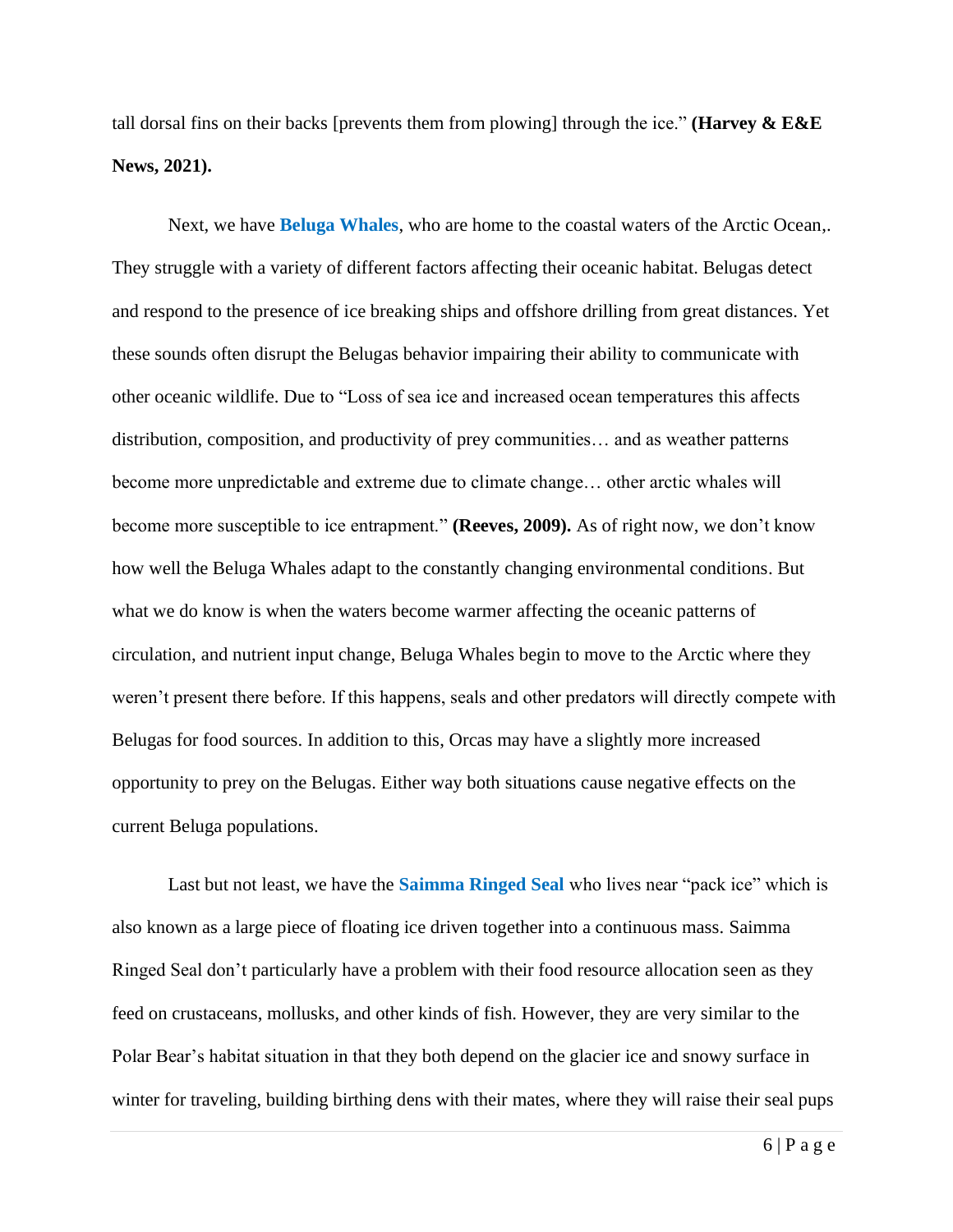tall dorsal fins on their backs [prevents them from plowing] through the ice." **(Harvey & E&E News, 2021).**

Next, we have **Beluga Whales**, who are home to the coastal waters of the Arctic Ocean,. They struggle with a variety of different factors affecting their oceanic habitat. Belugas detect and respond to the presence of ice breaking ships and offshore drilling from great distances. Yet these sounds often disrupt the Belugas behavior impairing their ability to communicate with other oceanic wildlife. Due to "Loss of sea ice and increased ocean temperatures this affects distribution, composition, and productivity of prey communities… and as weather patterns become more unpredictable and extreme due to climate change… other arctic whales will become more susceptible to ice entrapment." **(Reeves, 2009).** As of right now, we don't know how well the Beluga Whales adapt to the constantly changing environmental conditions. But what we do know is when the waters become warmer affecting the oceanic patterns of circulation, and nutrient input change, Beluga Whales begin to move to the Arctic where they weren't present there before. If this happens, seals and other predators will directly compete with Belugas for food sources. In addition to this, Orcas may have a slightly more increased opportunity to prey on the Belugas. Either way both situations cause negative effects on the current Beluga populations.

Last but not least, we have the **Saimma Ringed Seal** who lives near "pack ice" which is also known as a large piece of floating ice driven together into a continuous mass. Saimma Ringed Seal don't particularly have a problem with their food resource allocation seen as they feed on crustaceans, mollusks, and other kinds of fish. However, they are very similar to the Polar Bear's habitat situation in that they both depend on the glacier ice and snowy surface in winter for traveling, building birthing dens with their mates, where they will raise their seal pups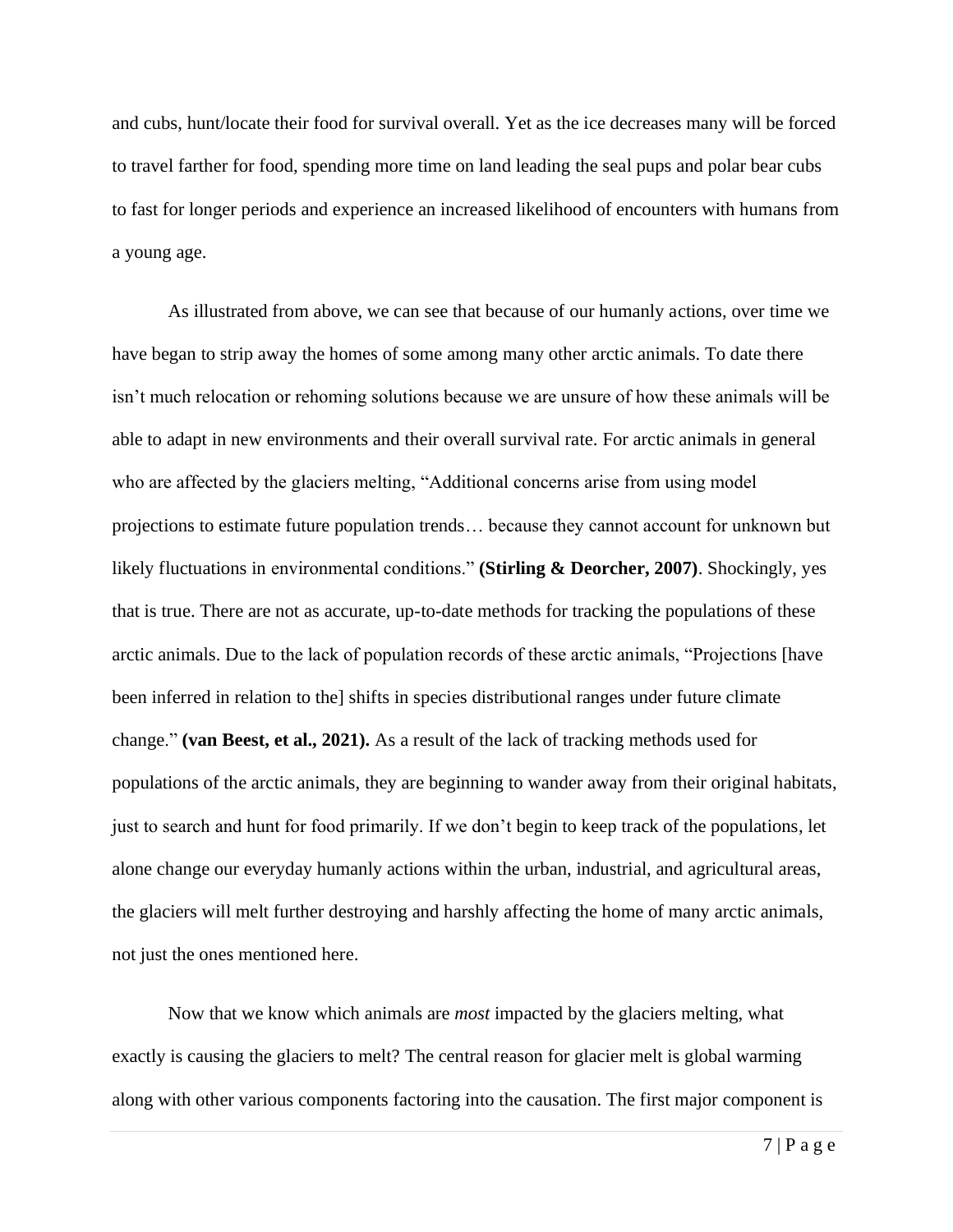and cubs, hunt/locate their food for survival overall. Yet as the ice decreases many will be forced to travel farther for food, spending more time on land leading the seal pups and polar bear cubs to fast for longer periods and experience an increased likelihood of encounters with humans from a young age.

As illustrated from above, we can see that because of our humanly actions, over time we have began to strip away the homes of some among many other arctic animals. To date there isn't much relocation or rehoming solutions because we are unsure of how these animals will be able to adapt in new environments and their overall survival rate. For arctic animals in general who are affected by the glaciers melting, "Additional concerns arise from using model projections to estimate future population trends… because they cannot account for unknown but likely fluctuations in environmental conditions." **(Stirling & Deorcher, 2007)**. Shockingly, yes that is true. There are not as accurate, up-to-date methods for tracking the populations of these arctic animals. Due to the lack of population records of these arctic animals, "Projections [have been inferred in relation to the] shifts in species distributional ranges under future climate change." **(van Beest, et al., 2021).** As a result of the lack of tracking methods used for populations of the arctic animals, they are beginning to wander away from their original habitats, just to search and hunt for food primarily. If we don't begin to keep track of the populations, let alone change our everyday humanly actions within the urban, industrial, and agricultural areas, the glaciers will melt further destroying and harshly affecting the home of many arctic animals, not just the ones mentioned here.

Now that we know which animals are *most* impacted by the glaciers melting, what exactly is causing the glaciers to melt? The central reason for glacier melt is global warming along with other various components factoring into the causation. The first major component is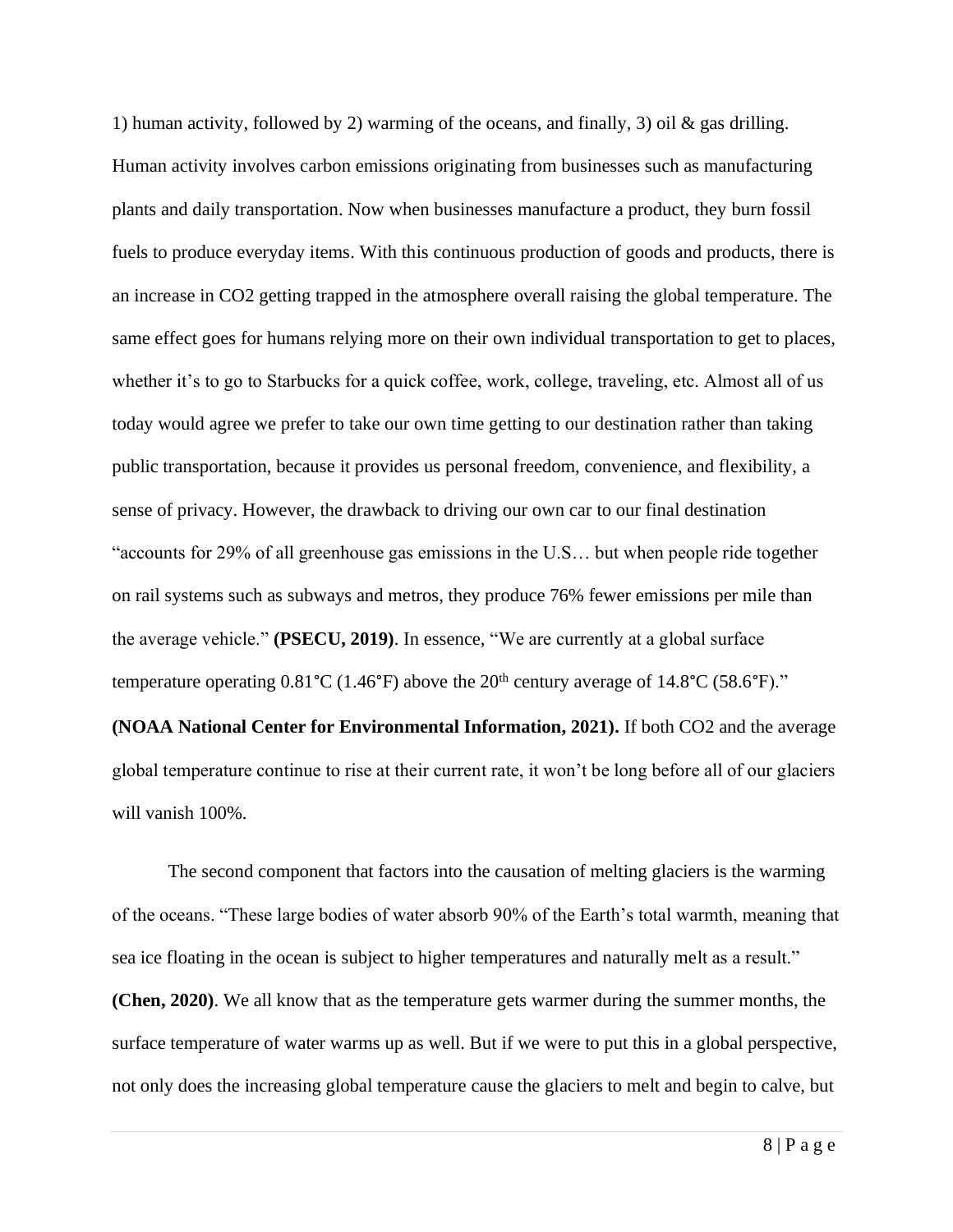1) human activity, followed by 2) warming of the oceans, and finally, 3) oil  $\&$  gas drilling. Human activity involves carbon emissions originating from businesses such as manufacturing plants and daily transportation. Now when businesses manufacture a product, they burn fossil fuels to produce everyday items. With this continuous production of goods and products, there is an increase in CO2 getting trapped in the atmosphere overall raising the global temperature. The same effect goes for humans relying more on their own individual transportation to get to places, whether it's to go to Starbucks for a quick coffee, work, college, traveling, etc. Almost all of us today would agree we prefer to take our own time getting to our destination rather than taking public transportation, because it provides us personal freedom, convenience, and flexibility, a sense of privacy. However, the drawback to driving our own car to our final destination "accounts for 29% of all greenhouse gas emissions in the U.S… but when people ride together on rail systems such as subways and metros, they produce 76% fewer emissions per mile than the average vehicle." **(PSECU, 2019)**. In essence, "We are currently at a global surface temperature operating  $0.81^{\circ}$ C (1.46°F) above the  $20^{\text{th}}$  century average of 14.8°C (58.6°F)."

**(NOAA National Center for Environmental Information, 2021).** If both CO2 and the average global temperature continue to rise at their current rate, it won't be long before all of our glaciers will vanish 100%.

The second component that factors into the causation of melting glaciers is the warming of the oceans. "These large bodies of water absorb 90% of the Earth's total warmth, meaning that sea ice floating in the ocean is subject to higher temperatures and naturally melt as a result." **(Chen, 2020)**. We all know that as the temperature gets warmer during the summer months, the surface temperature of water warms up as well. But if we were to put this in a global perspective, not only does the increasing global temperature cause the glaciers to melt and begin to calve, but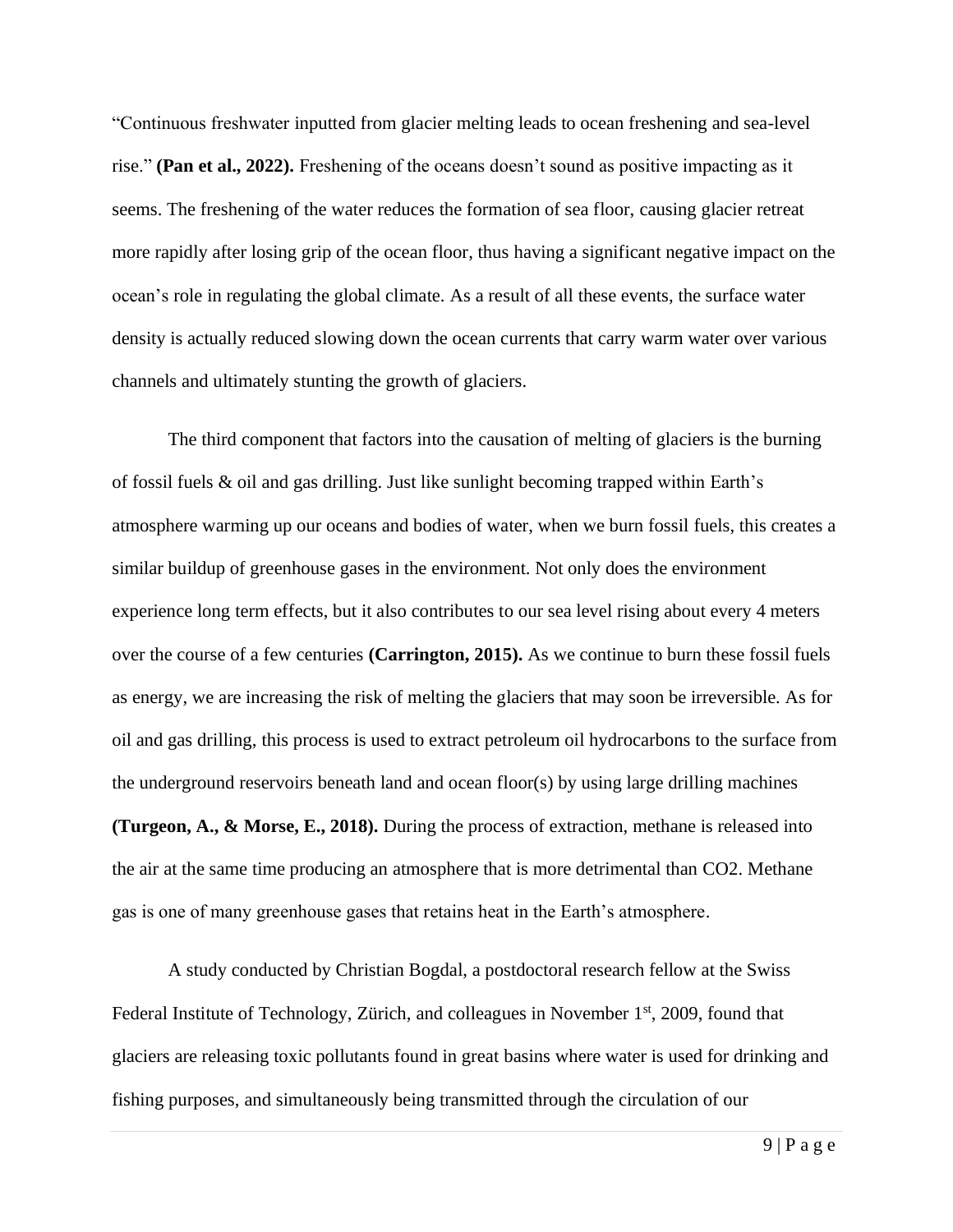"Continuous freshwater inputted from glacier melting leads to ocean freshening and sea-level rise." **(Pan et al., 2022).** Freshening of the oceans doesn't sound as positive impacting as it seems. The freshening of the water reduces the formation of sea floor, causing glacier retreat more rapidly after losing grip of the ocean floor, thus having a significant negative impact on the ocean's role in regulating the global climate. As a result of all these events, the surface water density is actually reduced slowing down the ocean currents that carry warm water over various channels and ultimately stunting the growth of glaciers.

The third component that factors into the causation of melting of glaciers is the burning of fossil fuels & oil and gas drilling. Just like sunlight becoming trapped within Earth's atmosphere warming up our oceans and bodies of water, when we burn fossil fuels, this creates a similar buildup of greenhouse gases in the environment. Not only does the environment experience long term effects, but it also contributes to our sea level rising about every 4 meters over the course of a few centuries **(Carrington, 2015).** As we continue to burn these fossil fuels as energy, we are increasing the risk of melting the glaciers that may soon be irreversible. As for oil and gas drilling, this process is used to extract petroleum oil hydrocarbons to the surface from the underground reservoirs beneath land and ocean floor(s) by using large drilling machines **(Turgeon, A., & Morse, E., 2018).** During the process of extraction, methane is released into the air at the same time producing an atmosphere that is more detrimental than CO2. Methane gas is one of many greenhouse gases that retains heat in the Earth's atmosphere.

A study conducted by Christian Bogdal, a postdoctoral research fellow at the Swiss Federal Institute of Technology, Zürich, and colleagues in November 1<sup>st</sup>, 2009, found that glaciers are releasing toxic pollutants found in great basins where water is used for drinking and fishing purposes, and simultaneously being transmitted through the circulation of our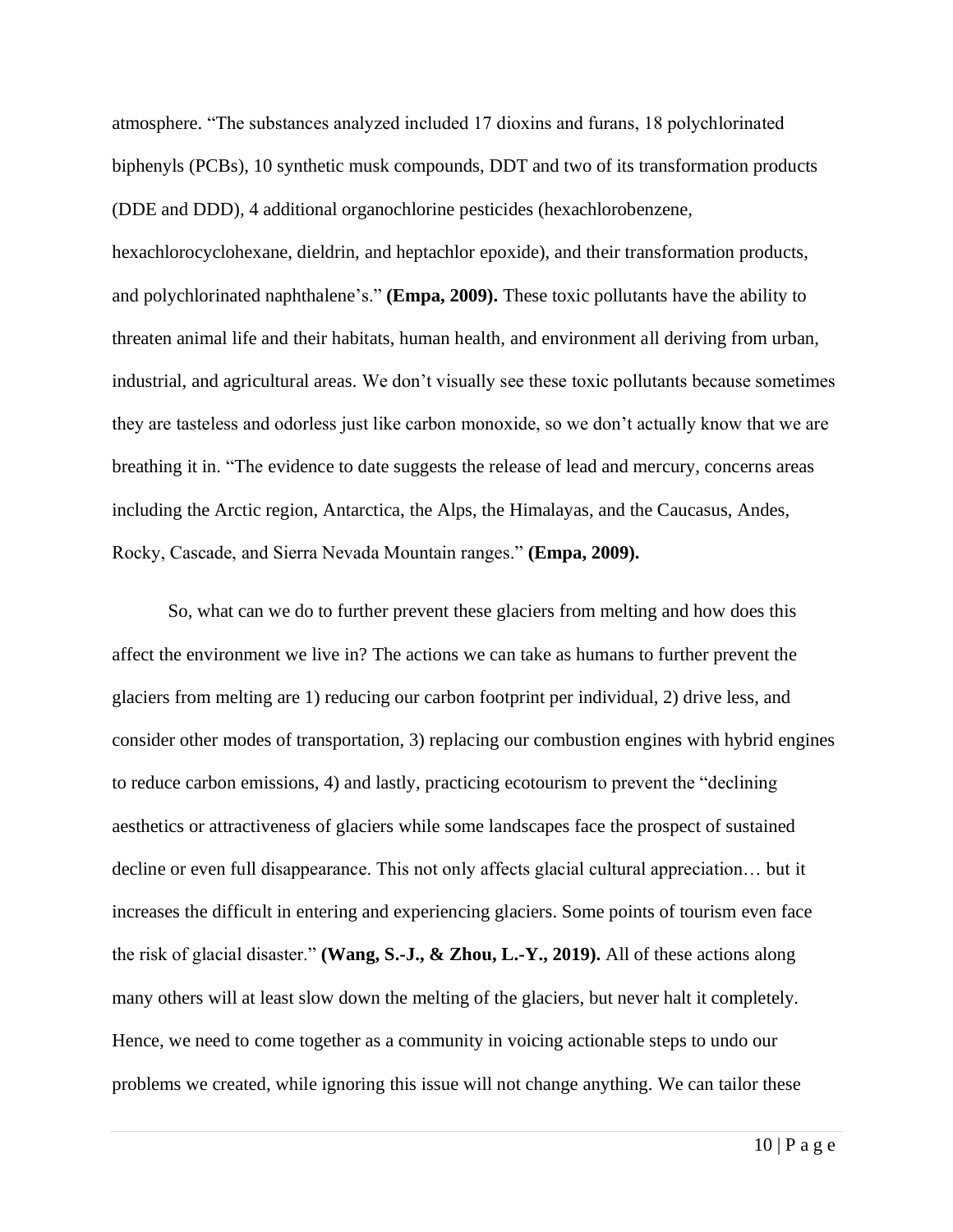atmosphere. "The substances analyzed included 17 dioxins and furans, 18 polychlorinated biphenyls (PCBs), 10 synthetic musk compounds, DDT and two of its transformation products (DDE and DDD), 4 additional organochlorine pesticides (hexachlorobenzene, hexachlorocyclohexane, dieldrin, and heptachlor epoxide), and their transformation products, and polychlorinated naphthalene's." **(Empa, 2009).** These toxic pollutants have the ability to threaten animal life and their habitats, human health, and environment all deriving from urban, industrial, and agricultural areas. We don't visually see these toxic pollutants because sometimes they are tasteless and odorless just like carbon monoxide, so we don't actually know that we are breathing it in. "The evidence to date suggests the release of lead and mercury, concerns areas including the Arctic region, Antarctica, the Alps, the Himalayas, and the Caucasus, Andes, Rocky, Cascade, and Sierra Nevada Mountain ranges." **(Empa, 2009).** 

So, what can we do to further prevent these glaciers from melting and how does this affect the environment we live in? The actions we can take as humans to further prevent the glaciers from melting are 1) reducing our carbon footprint per individual, 2) drive less, and consider other modes of transportation, 3) replacing our combustion engines with hybrid engines to reduce carbon emissions, 4) and lastly, practicing ecotourism to prevent the "declining aesthetics or attractiveness of glaciers while some landscapes face the prospect of sustained decline or even full disappearance. This not only affects glacial cultural appreciation… but it increases the difficult in entering and experiencing glaciers. Some points of tourism even face the risk of glacial disaster." **(Wang, S.-J., & Zhou, L.-Y., 2019).** All of these actions along many others will at least slow down the melting of the glaciers, but never halt it completely. Hence, we need to come together as a community in voicing actionable steps to undo our problems we created, while ignoring this issue will not change anything. We can tailor these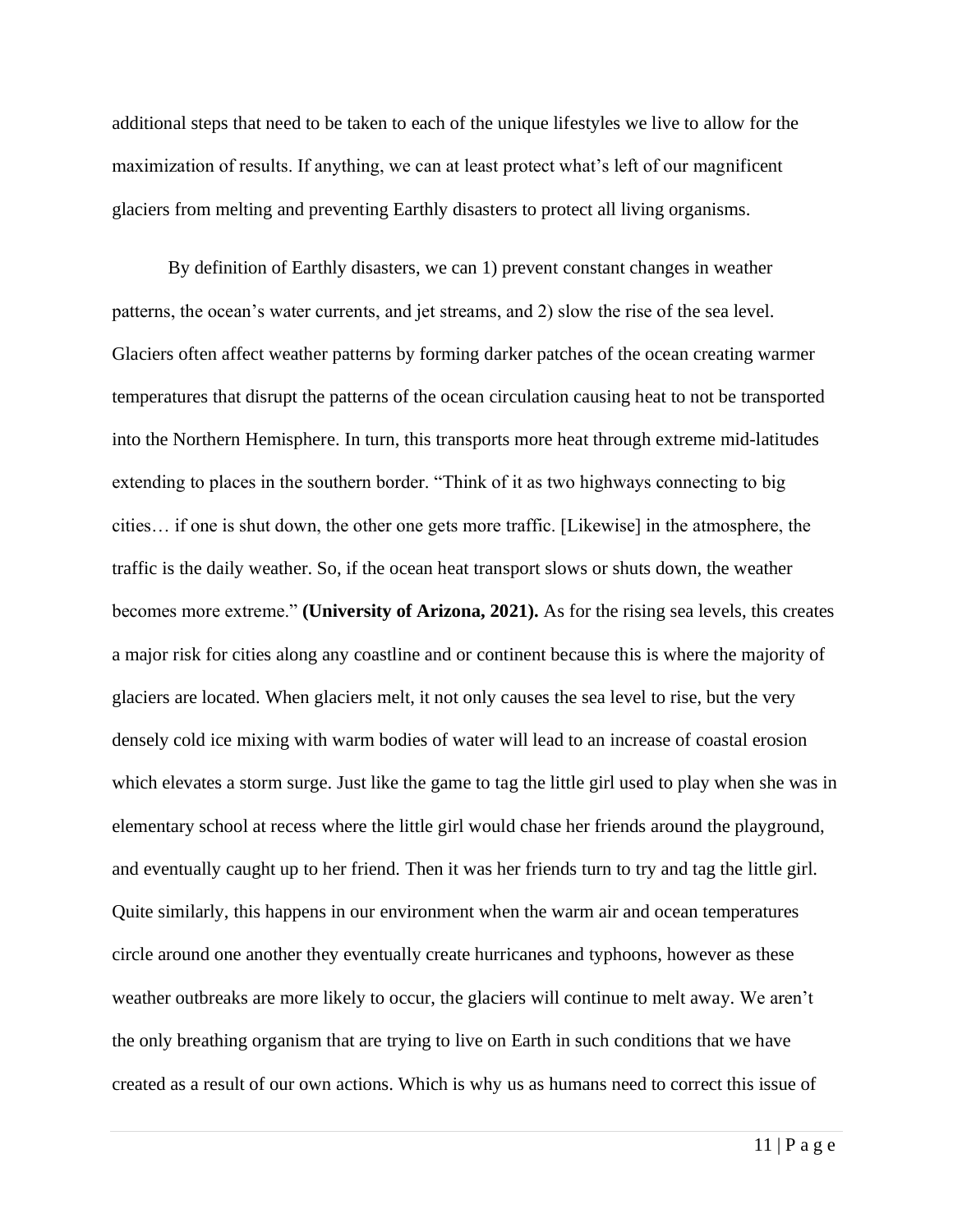additional steps that need to be taken to each of the unique lifestyles we live to allow for the maximization of results. If anything, we can at least protect what's left of our magnificent glaciers from melting and preventing Earthly disasters to protect all living organisms.

By definition of Earthly disasters, we can 1) prevent constant changes in weather patterns, the ocean's water currents, and jet streams, and 2) slow the rise of the sea level. Glaciers often affect weather patterns by forming darker patches of the ocean creating warmer temperatures that disrupt the patterns of the ocean circulation causing heat to not be transported into the Northern Hemisphere. In turn, this transports more heat through extreme mid-latitudes extending to places in the southern border. "Think of it as two highways connecting to big cities… if one is shut down, the other one gets more traffic. [Likewise] in the atmosphere, the traffic is the daily weather. So, if the ocean heat transport slows or shuts down, the weather becomes more extreme." **(University of Arizona, 2021).** As for the rising sea levels, this creates a major risk for cities along any coastline and or continent because this is where the majority of glaciers are located. When glaciers melt, it not only causes the sea level to rise, but the very densely cold ice mixing with warm bodies of water will lead to an increase of coastal erosion which elevates a storm surge. Just like the game to tag the little girl used to play when she was in elementary school at recess where the little girl would chase her friends around the playground, and eventually caught up to her friend. Then it was her friends turn to try and tag the little girl. Quite similarly, this happens in our environment when the warm air and ocean temperatures circle around one another they eventually create hurricanes and typhoons, however as these weather outbreaks are more likely to occur, the glaciers will continue to melt away. We aren't the only breathing organism that are trying to live on Earth in such conditions that we have created as a result of our own actions. Which is why us as humans need to correct this issue of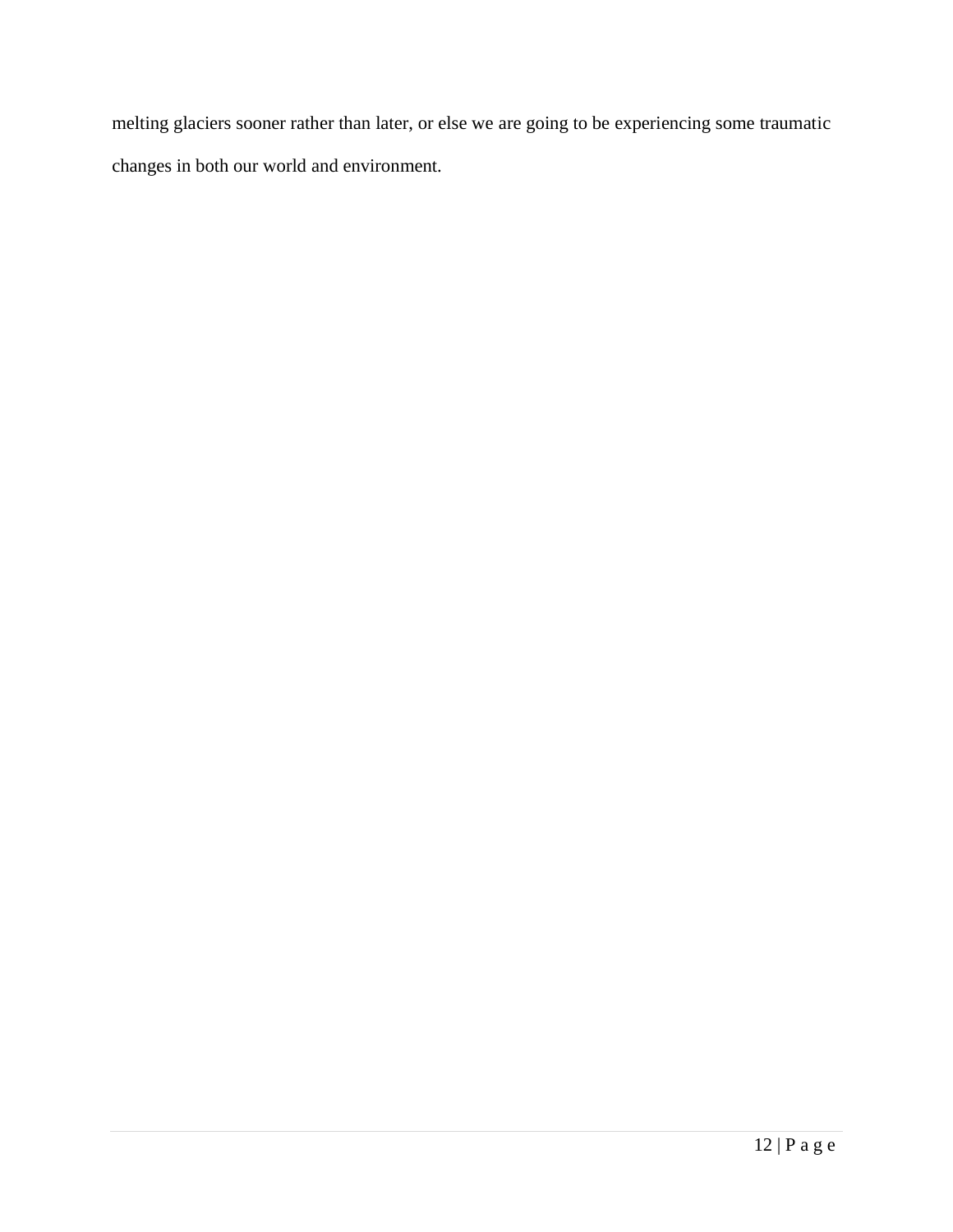melting glaciers sooner rather than later, or else we are going to be experiencing some traumatic changes in both our world and environment.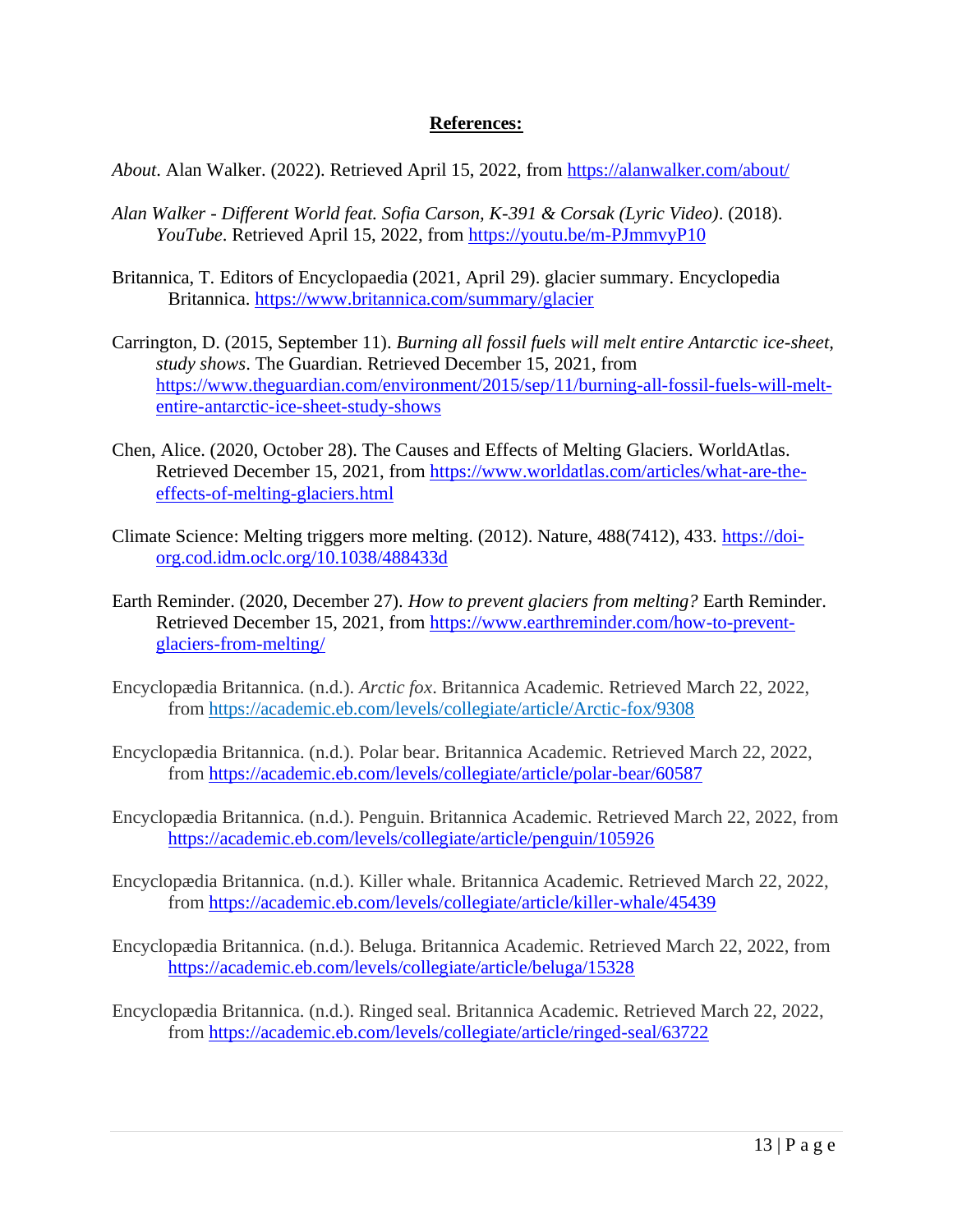## **References:**

*About*. Alan Walker. (2022). Retrieved April 15, 2022, from<https://alanwalker.com/about/>

- *Alan Walker - Different World feat. Sofia Carson, K-391 & Corsak (Lyric Video)*. (2018). *YouTube*. Retrieved April 15, 2022, from<https://youtu.be/m-PJmmvyP10>
- Britannica, T. Editors of Encyclopaedia (2021, April 29). glacier summary. Encyclopedia Britannica.<https://www.britannica.com/summary/glacier>
- Carrington, D. (2015, September 11). *Burning all fossil fuels will melt entire Antarctic ice-sheet, study shows*. The Guardian. Retrieved December 15, 2021, from [https://www.theguardian.com/environment/2015/sep/11/burning-all-fossil-fuels-will-melt](https://www.theguardian.com/environment/2015/sep/11/burning-all-fossil-fuels-will-melt-entire-antarctic-ice-sheet-study-shows)[entire-antarctic-ice-sheet-study-shows](https://www.theguardian.com/environment/2015/sep/11/burning-all-fossil-fuels-will-melt-entire-antarctic-ice-sheet-study-shows)
- Chen, Alice. (2020, October 28). The Causes and Effects of Melting Glaciers. WorldAtlas. Retrieved December 15, 2021, from [https://www.worldatlas.com/articles/what-are-the](https://www.worldatlas.com/articles/what-are-the-effects-of-melting-glaciers.html)[effects-of-melting-glaciers.html](https://www.worldatlas.com/articles/what-are-the-effects-of-melting-glaciers.html)
- Climate Science: Melting triggers more melting. (2012). Nature, 488(7412), 433. [https://doi](https://doi-org.cod.idm.oclc.org/10.1038/488433d)[org.cod.idm.oclc.org/10.1038/488433d](https://doi-org.cod.idm.oclc.org/10.1038/488433d)
- Earth Reminder. (2020, December 27). *How to prevent glaciers from melting?* Earth Reminder. Retrieved December 15, 2021, from [https://www.earthreminder.com/how-to-prevent](https://www.earthreminder.com/how-to-prevent-glaciers-from-melting/)[glaciers-from-melting/](https://www.earthreminder.com/how-to-prevent-glaciers-from-melting/)
- Encyclopædia Britannica. (n.d.). *Arctic fox*. Britannica Academic. Retrieved March 22, 2022, from <https://academic.eb.com/levels/collegiate/article/Arctic-fox/9308>
- Encyclopædia Britannica. (n.d.). Polar bear. Britannica Academic. Retrieved March 22, 2022, from<https://academic.eb.com/levels/collegiate/article/polar-bear/60587>
- Encyclopædia Britannica. (n.d.). Penguin. Britannica Academic. Retrieved March 22, 2022, from <https://academic.eb.com/levels/collegiate/article/penguin/105926>
- Encyclopædia Britannica. (n.d.). Killer whale. Britannica Academic. Retrieved March 22, 2022, from<https://academic.eb.com/levels/collegiate/article/killer-whale/45439>
- Encyclopædia Britannica. (n.d.). Beluga. Britannica Academic. Retrieved March 22, 2022, from <https://academic.eb.com/levels/collegiate/article/beluga/15328>
- Encyclopædia Britannica. (n.d.). Ringed seal. Britannica Academic. Retrieved March 22, 2022, from<https://academic.eb.com/levels/collegiate/article/ringed-seal/63722>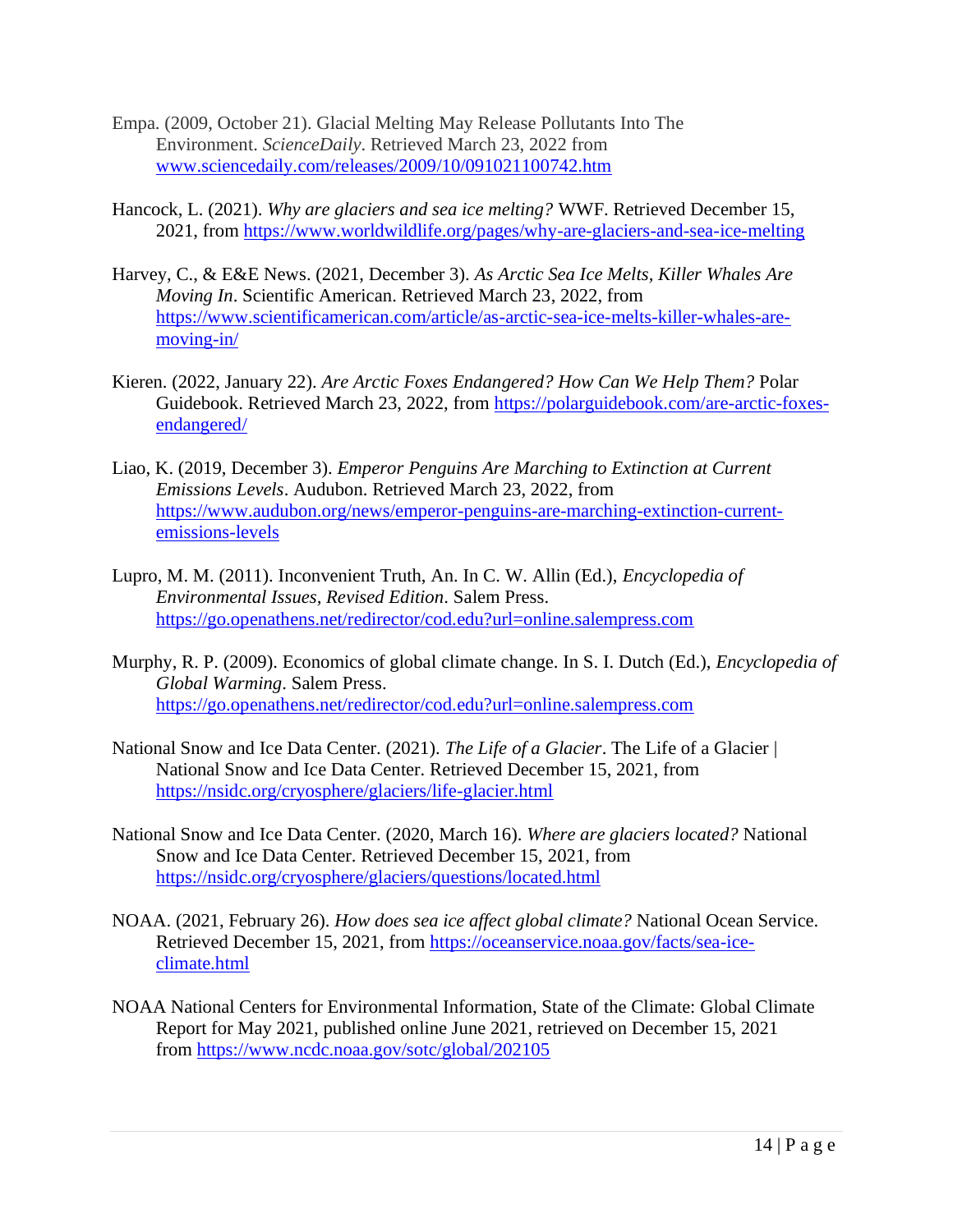- Empa. (2009, October 21). Glacial Melting May Release Pollutants Into The Environment. *ScienceDaily*. Retrieved March 23, 2022 from [www.sciencedaily.com/releases/2009/10/091021100742.htm](http://www.sciencedaily.com/releases/2009/10/091021100742.htm)
- Hancock, L. (2021). *Why are glaciers and sea ice melting?* WWF. Retrieved December 15, 2021, from<https://www.worldwildlife.org/pages/why-are-glaciers-and-sea-ice-melting>
- Harvey, C., & E&E News. (2021, December 3). *As Arctic Sea Ice Melts, Killer Whales Are Moving In*. Scientific American. Retrieved March 23, 2022, from [https://www.scientificamerican.com/article/as-arctic-sea-ice-melts-killer-whales-are](https://www.scientificamerican.com/article/as-arctic-sea-ice-melts-killer-whales-are-moving-in/#:~:text=These%20animals%20are%20adapted%20to,to%20crunch%20through%20the%20ice)[moving-in/](https://www.scientificamerican.com/article/as-arctic-sea-ice-melts-killer-whales-are-moving-in/#:~:text=These%20animals%20are%20adapted%20to,to%20crunch%20through%20the%20ice)
- Kieren. (2022, January 22). *Are Arctic Foxes Endangered? How Can We Help Them?* Polar Guidebook. Retrieved March 23, 2022, from [https://polarguidebook.com/are-arctic-foxes](https://polarguidebook.com/are-arctic-foxes-endangered/)[endangered/](https://polarguidebook.com/are-arctic-foxes-endangered/)
- Liao, K. (2019, December 3). *Emperor Penguins Are Marching to Extinction at Current Emissions Levels*. Audubon. Retrieved March 23, 2022, from [https://www.audubon.org/news/emperor-penguins-are-marching-extinction-current](https://www.audubon.org/news/emperor-penguins-are-marching-extinction-current-emissions-levels#:~:text=For%20Emperor%20Penguins%2C%20the%20primary,for%20breeding%20and%20raising%20chicks)[emissions-levels](https://www.audubon.org/news/emperor-penguins-are-marching-extinction-current-emissions-levels#:~:text=For%20Emperor%20Penguins%2C%20the%20primary,for%20breeding%20and%20raising%20chicks)
- Lupro, M. M. (2011). Inconvenient Truth, An. In C. W. Allin (Ed.), *Encyclopedia of Environmental Issues, Revised Edition*. Salem Press. <https://go.openathens.net/redirector/cod.edu?url=online.salempress.com>
- Murphy, R. P. (2009). Economics of global climate change. In S. I. Dutch (Ed.), *Encyclopedia of Global Warming*. Salem Press. <https://go.openathens.net/redirector/cod.edu?url=online.salempress.com>
- National Snow and Ice Data Center. (2021). *The Life of a Glacier*. The Life of a Glacier | National Snow and Ice Data Center. Retrieved December 15, 2021, from <https://nsidc.org/cryosphere/glaciers/life-glacier.html>
- National Snow and Ice Data Center. (2020, March 16). *Where are glaciers located?* National Snow and Ice Data Center. Retrieved December 15, 2021, from <https://nsidc.org/cryosphere/glaciers/questions/located.html>
- NOAA. (2021, February 26). *How does sea ice affect global climate?* National Ocean Service. Retrieved December 15, 2021, from [https://oceanservice.noaa.gov/facts/sea-ice](https://oceanservice.noaa.gov/facts/sea-ice-climate.html)[climate.html](https://oceanservice.noaa.gov/facts/sea-ice-climate.html)
- NOAA National Centers for Environmental Information, State of the Climate: Global Climate Report for May 2021, published online June 2021, retrieved on December 15, 2021 from <https://www.ncdc.noaa.gov/sotc/global/202105>